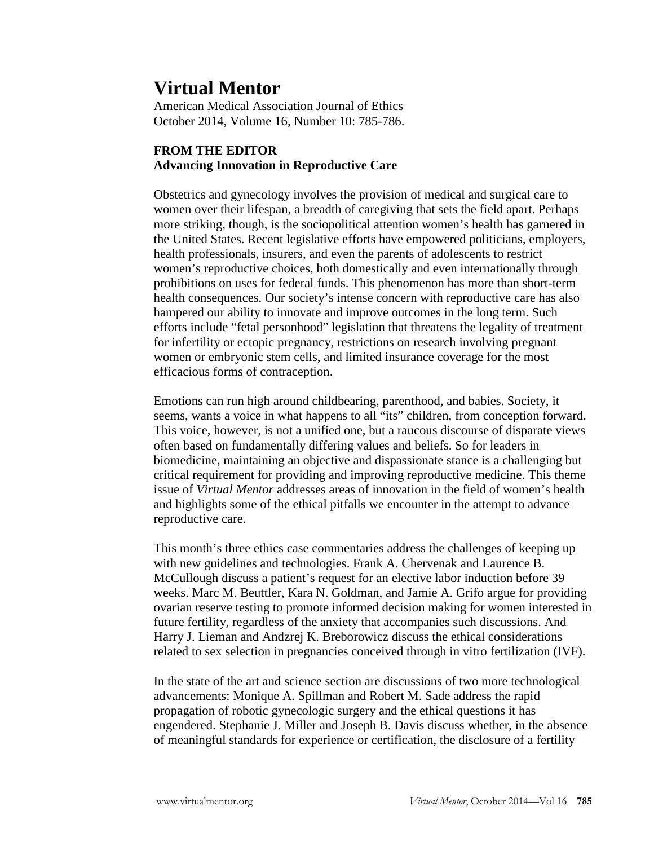## **Virtual Mentor**

American Medical Association Journal of Ethics October 2014, Volume 16, Number 10: 785-786.

## **FROM THE EDITOR Advancing Innovation in Reproductive Care**

Obstetrics and gynecology involves the provision of medical and surgical care to women over their lifespan, a breadth of caregiving that sets the field apart. Perhaps more striking, though, is the sociopolitical attention women's health has garnered in the United States. Recent legislative efforts have empowered politicians, employers, health professionals, insurers, and even the parents of adolescents to restrict women's reproductive choices, both domestically and even internationally through prohibitions on uses for federal funds. This phenomenon has more than short-term health consequences. Our society's intense concern with reproductive care has also hampered our ability to innovate and improve outcomes in the long term. Such efforts include "fetal personhood" legislation that threatens the legality of treatment for infertility or ectopic pregnancy, restrictions on research involving pregnant women or embryonic stem cells, and limited insurance coverage for the most efficacious forms of contraception.

Emotions can run high around childbearing, parenthood, and babies. Society, it seems, wants a voice in what happens to all "its" children, from conception forward. This voice, however, is not a unified one, but a raucous discourse of disparate views often based on fundamentally differing values and beliefs. So for leaders in biomedicine, maintaining an objective and dispassionate stance is a challenging but critical requirement for providing and improving reproductive medicine. This theme issue of *Virtual Mentor* addresses areas of innovation in the field of women's health and highlights some of the ethical pitfalls we encounter in the attempt to advance reproductive care.

This month's three ethics case commentaries address the challenges of keeping up with new guidelines and technologies. Frank A. Chervenak and Laurence B. McCullough discuss a patient's request for an elective labor induction before 39 weeks. Marc M. Beuttler, Kara N. Goldman, and Jamie A. Grifo argue for providing ovarian reserve testing to promote informed decision making for women interested in future fertility, regardless of the anxiety that accompanies such discussions. And Harry J. Lieman and Andzrej K. Breborowicz discuss the ethical considerations related to sex selection in pregnancies conceived through in vitro fertilization (IVF).

In the state of the art and science section are discussions of two more technological advancements: Monique A. Spillman and Robert M. Sade address the rapid propagation of robotic gynecologic surgery and the ethical questions it has engendered. Stephanie J. Miller and Joseph B. Davis discuss whether, in the absence of meaningful standards for experience or certification, the disclosure of a fertility